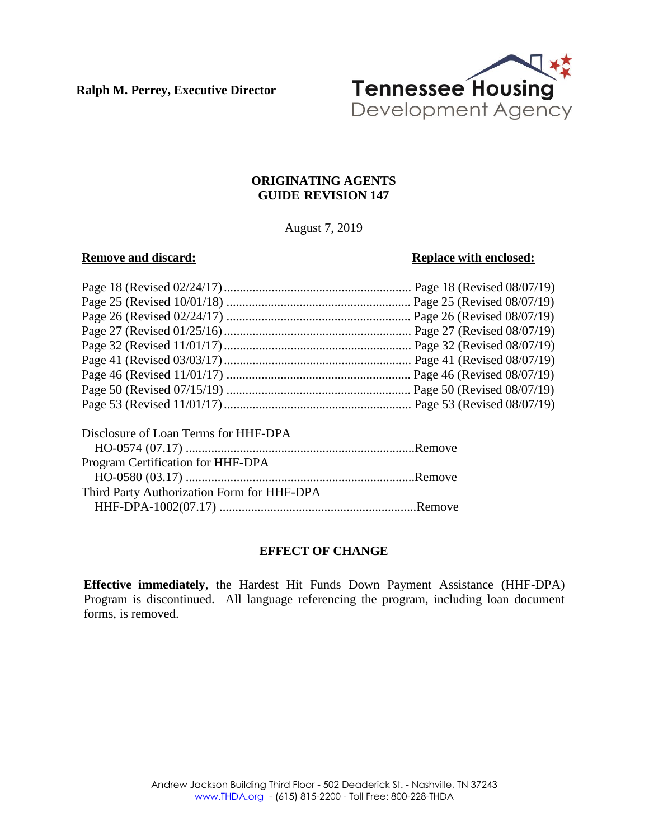**Ralph M. Perrey, Executive Director**



# **ORIGINATING AGENTS GUIDE REVISION 147**

August 7, 2019

# **Remove** and discard: **Replace** with **enclosed: Replace** with **enclosed:**

| Disclosure of Loan Terms for HHF-DPA       |  |
|--------------------------------------------|--|
|                                            |  |
| Program Certification for HHF-DPA          |  |
|                                            |  |
| Third Party Authorization Form for HHF-DPA |  |
|                                            |  |

# **EFFECT OF CHANGE**

**Effective immediately**, the Hardest Hit Funds Down Payment Assistance (HHF-DPA) Program is discontinued. All language referencing the program, including loan document forms, is removed.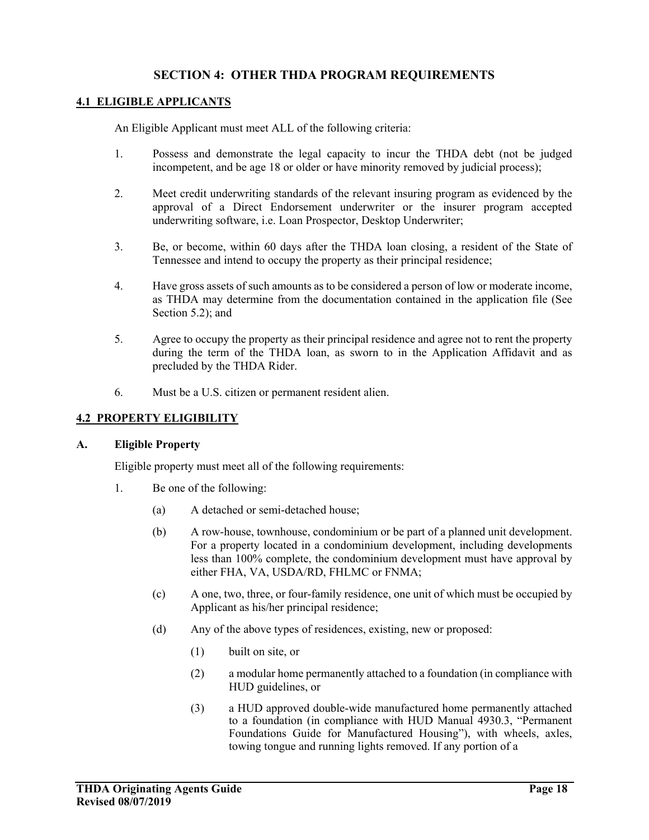# **SECTION 4: OTHER THDA PROGRAM REQUIREMENTS**

#### **4.1 ELIGIBLE APPLICANTS**

An Eligible Applicant must meet ALL of the following criteria:

- 1. Possess and demonstrate the legal capacity to incur the THDA debt (not be judged incompetent, and be age 18 or older or have minority removed by judicial process);
- 2. Meet credit underwriting standards of the relevant insuring program as evidenced by the approval of a Direct Endorsement underwriter or the insurer program accepted underwriting software, i.e. Loan Prospector, Desktop Underwriter;
- 3. Be, or become, within 60 days after the THDA loan closing, a resident of the State of Tennessee and intend to occupy the property as their principal residence;
- 4. Have gross assets of such amounts as to be considered a person of low or moderate income, as THDA may determine from the documentation contained in the application file (See Section 5.2); and
- 5. Agree to occupy the property as their principal residence and agree not to rent the property during the term of the THDA loan, as sworn to in the Application Affidavit and as precluded by the THDA Rider.
- 6. Must be a U.S. citizen or permanent resident alien.

#### **4.2 PROPERTY ELIGIBILITY**

#### **A. Eligible Property**

Eligible property must meet all of the following requirements:

- 1. Be one of the following:
	- (a) A detached or semi-detached house;
	- (b) A row-house, townhouse, condominium or be part of a planned unit development. For a property located in a condominium development, including developments less than 100% complete, the condominium development must have approval by either FHA, VA, USDA/RD, FHLMC or FNMA;
	- (c) A one, two, three, or four-family residence, one unit of which must be occupied by Applicant as his/her principal residence;
	- (d) Any of the above types of residences, existing, new or proposed:
		- (1) built on site, or
		- (2) a modular home permanently attached to a foundation (in compliance with HUD guidelines, or
		- (3) a HUD approved double-wide manufactured home permanently attached to a foundation (in compliance with HUD Manual 4930.3, "Permanent Foundations Guide for Manufactured Housing"), with wheels, axles, towing tongue and running lights removed. If any portion of a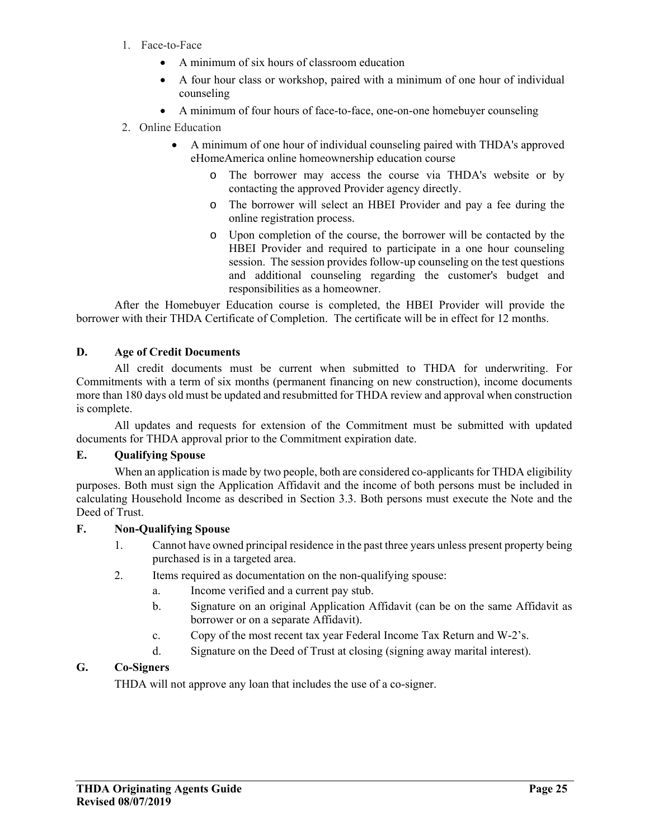- 1. Face-to-Face
	- A minimum of six hours of classroom education
	- A four hour class or workshop, paired with a minimum of one hour of individual counseling
	- A minimum of four hours of face-to-face, one-on-one homebuyer counseling
- 2. Online Education
	- A minimum of one hour of individual counseling paired with THDA's approved eHomeAmerica online homeownership education course
		- o The borrower may access the course via THDA's website or by contacting the approved Provider agency directly.
		- o The borrower will select an HBEI Provider and pay a fee during the online registration process.
		- o Upon completion of the course, the borrower will be contacted by the HBEI Provider and required to participate in a one hour counseling session. The session provides follow-up counseling on the test questions and additional counseling regarding the customer's budget and responsibilities as a homeowner.

 After the Homebuyer Education course is completed, the HBEI Provider will provide the borrower with their THDA Certificate of Completion. The certificate will be in effect for 12 months.

# **D. Age of Credit Documents**

All credit documents must be current when submitted to THDA for underwriting. For Commitments with a term of six months (permanent financing on new construction), income documents more than 180 days old must be updated and resubmitted for THDA review and approval when construction is complete.

All updates and requests for extension of the Commitment must be submitted with updated documents for THDA approval prior to the Commitment expiration date.

# **E. Qualifying Spouse**

When an application is made by two people, both are considered co-applicants for THDA eligibility purposes. Both must sign the Application Affidavit and the income of both persons must be included in calculating Household Income as described in Section 3.3. Both persons must execute the Note and the Deed of Trust.

# **F. Non-Qualifying Spouse**

- 1. Cannot have owned principal residence in the past three years unless present property being purchased is in a targeted area.
- 2. Items required as documentation on the non-qualifying spouse:
	- a. Income verified and a current pay stub.
	- b. Signature on an original Application Affidavit (can be on the same Affidavit as borrower or on a separate Affidavit).
	- c. Copy of the most recent tax year Federal Income Tax Return and W-2's.
	- d. Signature on the Deed of Trust at closing (signing away marital interest).

# **G. Co-Signers**

THDA will not approve any loan that includes the use of a co-signer.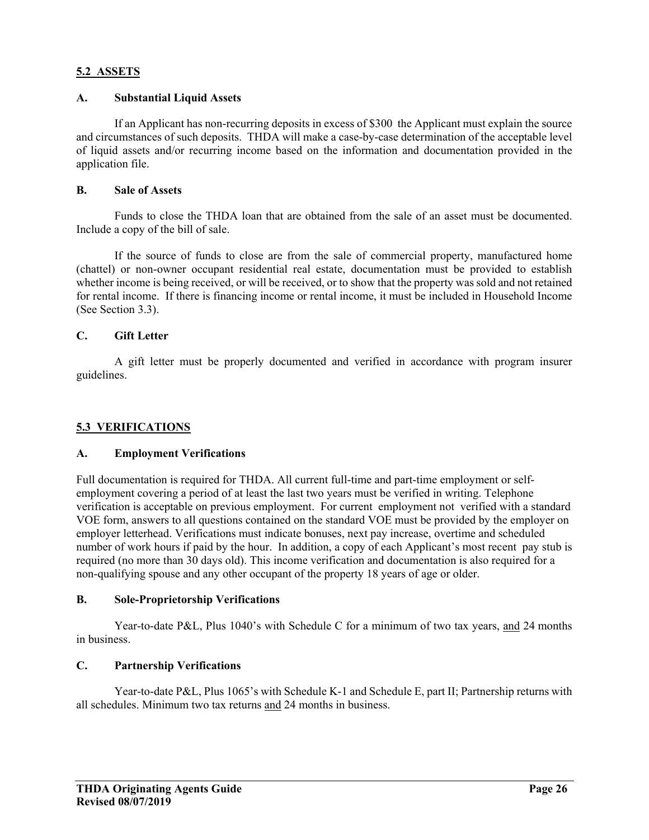## **5.2 ASSETS**

## **A. Substantial Liquid Assets**

If an Applicant has non-recurring deposits in excess of \$300 the Applicant must explain the source and circumstances of such deposits. THDA will make a case-by-case determination of the acceptable level of liquid assets and/or recurring income based on the information and documentation provided in the application file.

## **B. Sale of Assets**

Funds to close the THDA loan that are obtained from the sale of an asset must be documented. Include a copy of the bill of sale.

If the source of funds to close are from the sale of commercial property, manufactured home (chattel) or non-owner occupant residential real estate, documentation must be provided to establish whether income is being received, or will be received, or to show that the property was sold and not retained for rental income. If there is financing income or rental income, it must be included in Household Income (See Section 3.3).

# **C. Gift Letter**

A gift letter must be properly documented and verified in accordance with program insurer guidelines.

# **5.3 VERIFICATIONS**

#### **A. Employment Verifications**

Full documentation is required for THDA. All current full-time and part-time employment or selfemployment covering a period of at least the last two years must be verified in writing. Telephone verification is acceptable on previous employment. For current employment not verified with a standard VOE form, answers to all questions contained on the standard VOE must be provided by the employer on employer letterhead. Verifications must indicate bonuses, next pay increase, overtime and scheduled number of work hours if paid by the hour. In addition, a copy of each Applicant's most recent pay stub is required (no more than 30 days old). This income verification and documentation is also required for a non-qualifying spouse and any other occupant of the property 18 years of age or older.

#### **B. Sole-Proprietorship Verifications**

Year-to-date P&L, Plus 1040's with Schedule C for a minimum of two tax years, and 24 months in business.

## **C. Partnership Verifications**

Year-to-date P&L, Plus 1065's with Schedule K-1 and Schedule E, part II; Partnership returns with all schedules. Minimum two tax returns and 24 months in business.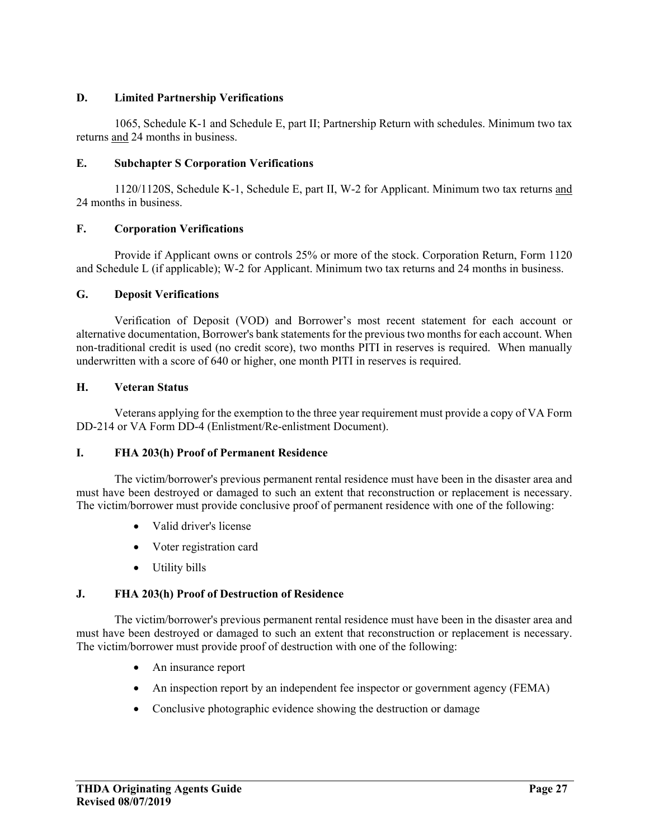# **D. Limited Partnership Verifications**

1065, Schedule K-1 and Schedule E, part II; Partnership Return with schedules. Minimum two tax returns and 24 months in business.

# **E. Subchapter S Corporation Verifications**

1120/1120S, Schedule K-1, Schedule E, part II, W-2 for Applicant. Minimum two tax returns and 24 months in business.

# **F. Corporation Verifications**

Provide if Applicant owns or controls 25% or more of the stock. Corporation Return, Form 1120 and Schedule L (if applicable); W-2 for Applicant. Minimum two tax returns and 24 months in business.

# **G. Deposit Verifications**

Verification of Deposit (VOD) and Borrower's most recent statement for each account or alternative documentation, Borrower's bank statements for the previous two months for each account. When non-traditional credit is used (no credit score), two months PITI in reserves is required. When manually underwritten with a score of 640 or higher, one month PITI in reserves is required.

# **H. Veteran Status**

Veterans applying for the exemption to the three year requirement must provide a copy of VA Form DD-214 or VA Form DD-4 (Enlistment/Re-enlistment Document).

# **I. FHA 203(h) Proof of Permanent Residence**

The victim/borrower's previous permanent rental residence must have been in the disaster area and must have been destroyed or damaged to such an extent that reconstruction or replacement is necessary. The victim/borrower must provide conclusive proof of permanent residence with one of the following:

- Valid driver's license
- Voter registration card
- Utility bills

# **J. FHA 203(h) Proof of Destruction of Residence**

The victim/borrower's previous permanent rental residence must have been in the disaster area and must have been destroyed or damaged to such an extent that reconstruction or replacement is necessary. The victim/borrower must provide proof of destruction with one of the following:

- An insurance report
- An inspection report by an independent fee inspector or government agency (FEMA)
- Conclusive photographic evidence showing the destruction or damage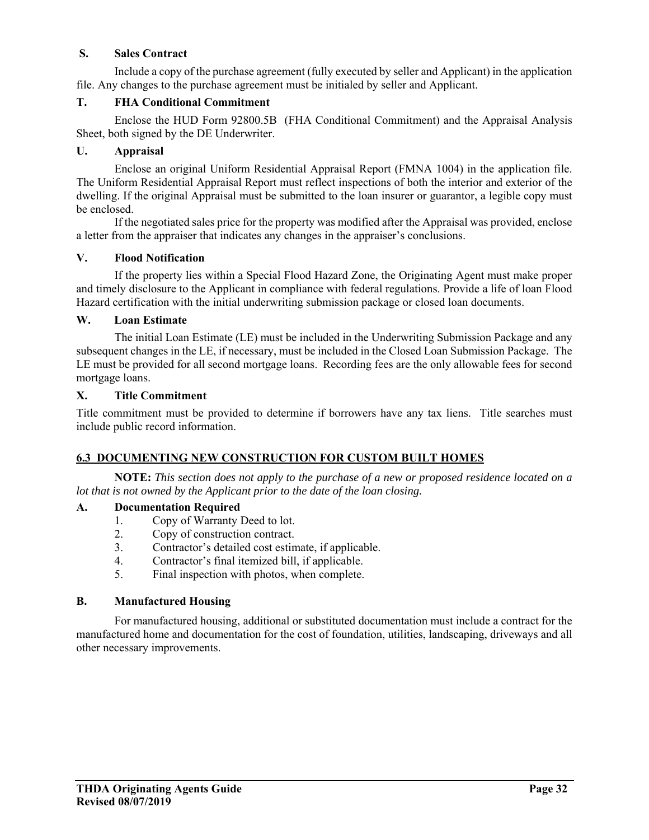# **S. Sales Contract**

Include a copy of the purchase agreement (fully executed by seller and Applicant) in the application file. Any changes to the purchase agreement must be initialed by seller and Applicant.

# **T. FHA Conditional Commitment**

Enclose the HUD Form 92800.5B (FHA Conditional Commitment) and the Appraisal Analysis Sheet, both signed by the DE Underwriter.

## **U. Appraisal**

Enclose an original Uniform Residential Appraisal Report (FMNA 1004) in the application file. The Uniform Residential Appraisal Report must reflect inspections of both the interior and exterior of the dwelling. If the original Appraisal must be submitted to the loan insurer or guarantor, a legible copy must be enclosed.

If the negotiated sales price for the property was modified after the Appraisal was provided, enclose a letter from the appraiser that indicates any changes in the appraiser's conclusions.

## **V. Flood Notification**

If the property lies within a Special Flood Hazard Zone, the Originating Agent must make proper and timely disclosure to the Applicant in compliance with federal regulations. Provide a life of loan Flood Hazard certification with the initial underwriting submission package or closed loan documents.

## **W. Loan Estimate**

 The initial Loan Estimate (LE) must be included in the Underwriting Submission Package and any subsequent changes in the LE, if necessary, must be included in the Closed Loan Submission Package. The LE must be provided for all second mortgage loans. Recording fees are the only allowable fees for second mortgage loans.

#### **X. Title Commitment**

Title commitment must be provided to determine if borrowers have any tax liens. Title searches must include public record information.

# **6.3 DOCUMENTING NEW CONSTRUCTION FOR CUSTOM BUILT HOMES**

**NOTE:** *This section does not apply to the purchase of a new or proposed residence located on a lot that is not owned by the Applicant prior to the date of the loan closing.* 

# **A. Documentation Required**

- 1. Copy of Warranty Deed to lot.
- 2. Copy of construction contract.
- 3. Contractor's detailed cost estimate, if applicable.
- 4. Contractor's final itemized bill, if applicable.
- 5. Final inspection with photos, when complete.

## **B. Manufactured Housing**

For manufactured housing, additional or substituted documentation must include a contract for the manufactured home and documentation for the cost of foundation, utilities, landscaping, driveways and all other necessary improvements.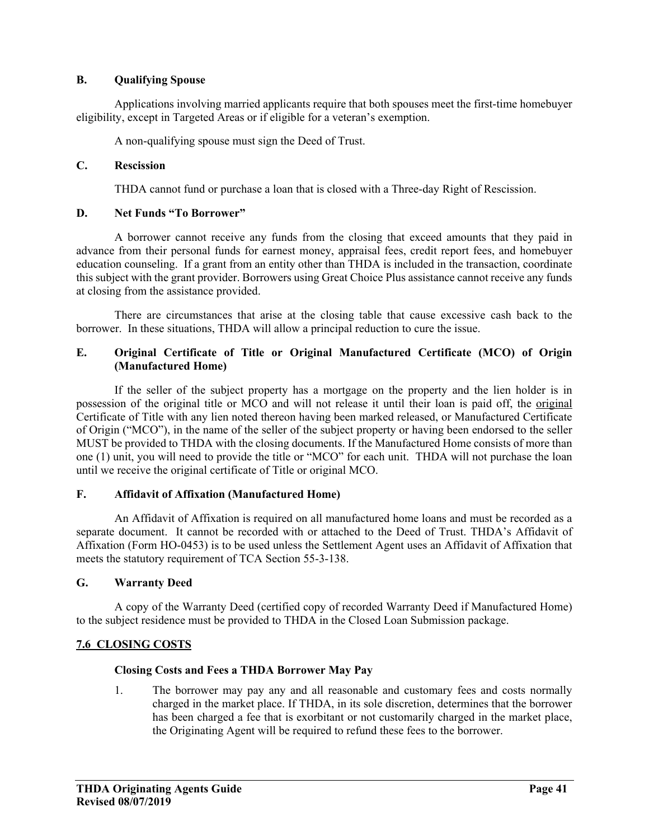## **B. Qualifying Spouse**

Applications involving married applicants require that both spouses meet the first-time homebuyer eligibility, except in Targeted Areas or if eligible for a veteran's exemption.

A non-qualifying spouse must sign the Deed of Trust.

## **C. Rescission**

THDA cannot fund or purchase a loan that is closed with a Three-day Right of Rescission.

# **D. Net Funds "To Borrower"**

A borrower cannot receive any funds from the closing that exceed amounts that they paid in advance from their personal funds for earnest money, appraisal fees, credit report fees, and homebuyer education counseling. If a grant from an entity other than THDA is included in the transaction, coordinate this subject with the grant provider. Borrowers using Great Choice Plus assistance cannot receive any funds at closing from the assistance provided.

There are circumstances that arise at the closing table that cause excessive cash back to the borrower. In these situations, THDA will allow a principal reduction to cure the issue.

# **E. Original Certificate of Title or Original Manufactured Certificate (MCO) of Origin (Manufactured Home)**

If the seller of the subject property has a mortgage on the property and the lien holder is in possession of the original title or MCO and will not release it until their loan is paid off, the original Certificate of Title with any lien noted thereon having been marked released, or Manufactured Certificate of Origin ("MCO"), in the name of the seller of the subject property or having been endorsed to the seller MUST be provided to THDA with the closing documents. If the Manufactured Home consists of more than one (1) unit, you will need to provide the title or "MCO" for each unit. THDA will not purchase the loan until we receive the original certificate of Title or original MCO.

#### **F. Affidavit of Affixation (Manufactured Home)**

An Affidavit of Affixation is required on all manufactured home loans and must be recorded as a separate document. It cannot be recorded with or attached to the Deed of Trust. THDA's Affidavit of Affixation (Form HO-0453) is to be used unless the Settlement Agent uses an Affidavit of Affixation that meets the statutory requirement of TCA Section 55-3-138.

#### **G. Warranty Deed**

A copy of the Warranty Deed (certified copy of recorded Warranty Deed if Manufactured Home) to the subject residence must be provided to THDA in the Closed Loan Submission package.

# **7.6 CLOSING COSTS**

## **Closing Costs and Fees a THDA Borrower May Pay**

1. The borrower may pay any and all reasonable and customary fees and costs normally charged in the market place. If THDA, in its sole discretion, determines that the borrower has been charged a fee that is exorbitant or not customarily charged in the market place, the Originating Agent will be required to refund these fees to the borrower.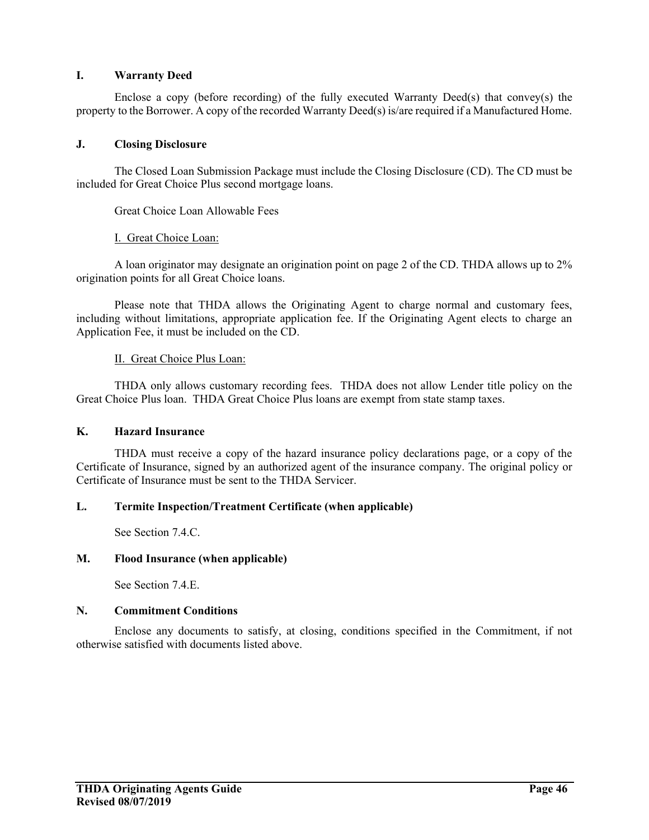## **I. Warranty Deed**

Enclose a copy (before recording) of the fully executed Warranty Deed(s) that convey(s) the property to the Borrower. A copy of the recorded Warranty Deed(s) is/are required if a Manufactured Home.

## **J. Closing Disclosure**

The Closed Loan Submission Package must include the Closing Disclosure (CD). The CD must be included for Great Choice Plus second mortgage loans.

Great Choice Loan Allowable Fees

## I. Great Choice Loan:

A loan originator may designate an origination point on page 2 of the CD. THDA allows up to 2% origination points for all Great Choice loans.

Please note that THDA allows the Originating Agent to charge normal and customary fees, including without limitations, appropriate application fee. If the Originating Agent elects to charge an Application Fee, it must be included on the CD.

## II. Great Choice Plus Loan:

THDA only allows customary recording fees. THDA does not allow Lender title policy on the Great Choice Plus loan. THDA Great Choice Plus loans are exempt from state stamp taxes.

## **K. Hazard Insurance**

THDA must receive a copy of the hazard insurance policy declarations page, or a copy of the Certificate of Insurance, signed by an authorized agent of the insurance company. The original policy or Certificate of Insurance must be sent to the THDA Servicer.

#### **L. Termite Inspection/Treatment Certificate (when applicable)**

See Section 7.4.C.

#### **M. Flood Insurance (when applicable)**

See Section 7.4.E.

#### **N. Commitment Conditions**

Enclose any documents to satisfy, at closing, conditions specified in the Commitment, if not otherwise satisfied with documents listed above.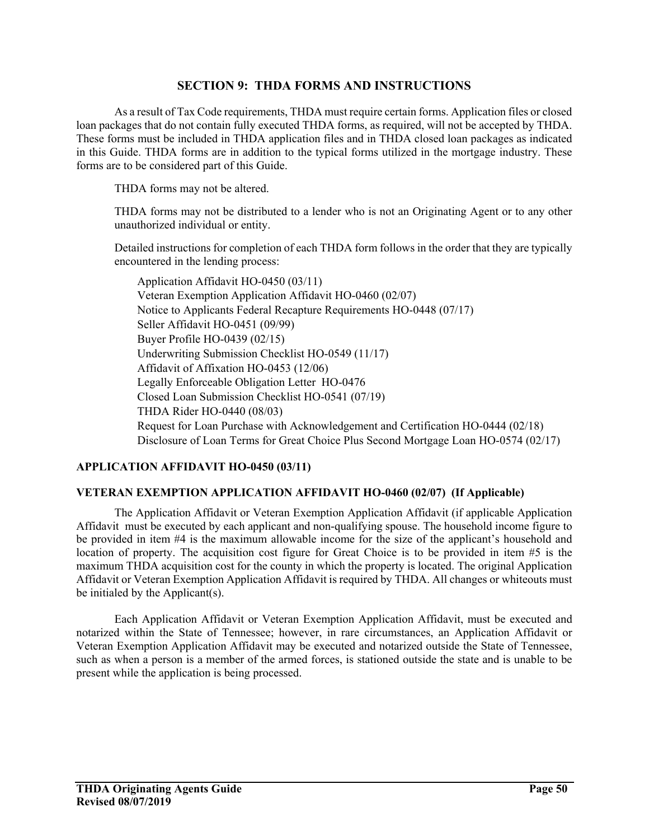# **SECTION 9: THDA FORMS AND INSTRUCTIONS**

As a result of Tax Code requirements, THDA must require certain forms. Application files or closed loan packages that do not contain fully executed THDA forms, as required, will not be accepted by THDA. These forms must be included in THDA application files and in THDA closed loan packages as indicated in this Guide. THDA forms are in addition to the typical forms utilized in the mortgage industry. These forms are to be considered part of this Guide.

THDA forms may not be altered.

THDA forms may not be distributed to a lender who is not an Originating Agent or to any other unauthorized individual or entity.

Detailed instructions for completion of each THDA form follows in the order that they are typically encountered in the lending process:

Application Affidavit HO-0450 (03/11) Veteran Exemption Application Affidavit HO-0460 (02/07) Notice to Applicants Federal Recapture Requirements HO-0448 (07/17) Seller Affidavit HO-0451 (09/99) Buyer Profile HO-0439 (02/15) Underwriting Submission Checklist HO-0549 (11/17) Affidavit of Affixation HO-0453 (12/06) Legally Enforceable Obligation Letter HO-0476 Closed Loan Submission Checklist HO-0541 (07/19) THDA Rider HO-0440 (08/03) Request for Loan Purchase with Acknowledgement and Certification HO-0444 (02/18) Disclosure of Loan Terms for Great Choice Plus Second Mortgage Loan HO-0574 (02/17)

# **APPLICATION AFFIDAVIT HO-0450 (03/11)**

# **VETERAN EXEMPTION APPLICATION AFFIDAVIT HO-0460 (02/07) (If Applicable)**

The Application Affidavit or Veteran Exemption Application Affidavit (if applicable Application Affidavit must be executed by each applicant and non-qualifying spouse. The household income figure to be provided in item #4 is the maximum allowable income for the size of the applicant's household and location of property. The acquisition cost figure for Great Choice is to be provided in item #5 is the maximum THDA acquisition cost for the county in which the property is located. The original Application Affidavit or Veteran Exemption Application Affidavit is required by THDA. All changes or whiteouts must be initialed by the Applicant(s).

Each Application Affidavit or Veteran Exemption Application Affidavit, must be executed and notarized within the State of Tennessee; however, in rare circumstances, an Application Affidavit or Veteran Exemption Application Affidavit may be executed and notarized outside the State of Tennessee, such as when a person is a member of the armed forces, is stationed outside the state and is unable to be present while the application is being processed.